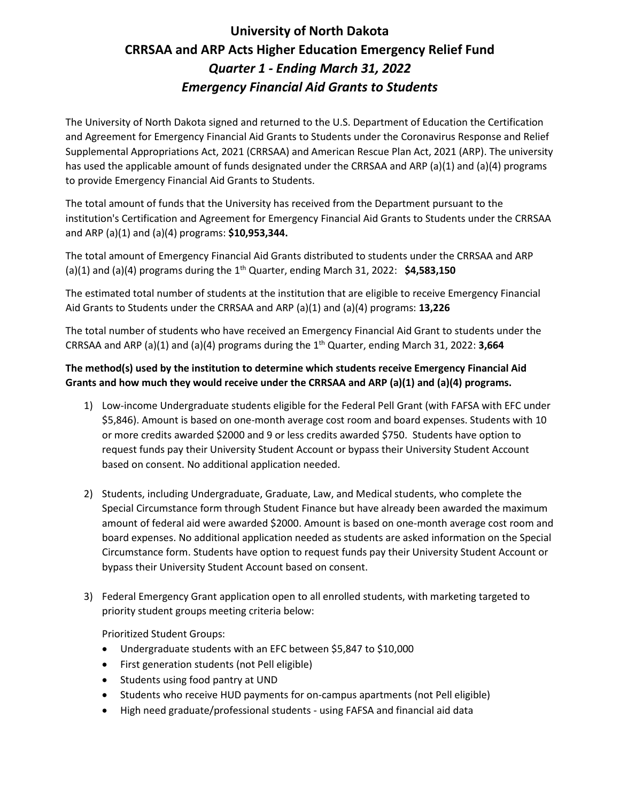# **University of North Dakota CRRSAA and ARP Acts Higher Education Emergency Relief Fund** *Quarter 1 - Ending March 31, 2022 Emergency Financial Aid Grants to Students*

The University of North Dakota signed and returned to the U.S. Department of Education the Certification and Agreement for Emergency Financial Aid Grants to Students under the Coronavirus Response and Relief Supplemental Appropriations Act, 2021 (CRRSAA) and American Rescue Plan Act, 2021 (ARP). The university has used the applicable amount of funds designated under the CRRSAA and ARP (a)(1) and (a)(4) programs to provide Emergency Financial Aid Grants to Students.

The total amount of funds that the University has received from the Department pursuant to the institution's Certification and Agreement for Emergency Financial Aid Grants to Students under the CRRSAA and ARP (a)(1) and (a)(4) programs: **\$10,953,344.**

The total amount of Emergency Financial Aid Grants distributed to students under the CRRSAA and ARP (a)(1) and (a)(4) programs during the 1 th Quarter, ending March 31, 2022: **\$4,583,150**

The estimated total number of students at the institution that are eligible to receive Emergency Financial Aid Grants to Students under the CRRSAA and ARP (a)(1) and (a)(4) programs: **13,226**

The total number of students who have received an Emergency Financial Aid Grant to students under the CRRSAA and ARP (a)(1) and (a)(4) programs during the 1 th Quarter, ending March 31, 2022: **3,664**

## **The method(s) used by the institution to determine which students receive Emergency Financial Aid Grants and how much they would receive under the CRRSAA and ARP (a)(1) and (a)(4) programs.**

- 1) Low-income Undergraduate students eligible for the Federal Pell Grant (with FAFSA with EFC under \$5,846). Amount is based on one-month average cost room and board expenses. Students with 10 or more credits awarded \$2000 and 9 or less credits awarded \$750. Students have option to request funds pay their University Student Account or bypass their University Student Account based on consent. No additional application needed.
- 2) Students, including Undergraduate, Graduate, Law, and Medical students, who complete the Special Circumstance form through Student Finance but have already been awarded the maximum amount of federal aid were awarded \$2000. Amount is based on one-month average cost room and board expenses. No additional application needed as students are asked information on the Special Circumstance form. Students have option to request funds pay their University Student Account or bypass their University Student Account based on consent.
- 3) Federal Emergency Grant application open to all enrolled students, with marketing targeted to priority student groups meeting criteria below:

Prioritized Student Groups:

- Undergraduate students with an EFC between \$5,847 to \$10,000
- First generation students (not Pell eligible)
- Students using food pantry at UND
- Students who receive HUD payments for on-campus apartments (not Pell eligible)
- High need graduate/professional students using FAFSA and financial aid data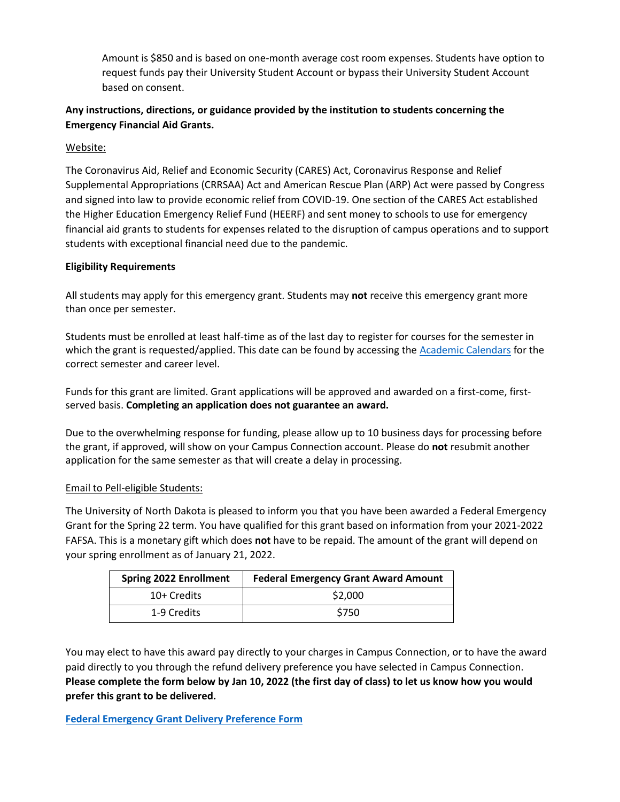Amount is \$850 and is based on one-month average cost room expenses. Students have option to request funds pay their University Student Account or bypass their University Student Account based on consent.

## **Any instructions, directions, or guidance provided by the institution to students concerning the Emergency Financial Aid Grants.**

Website:

The Coronavirus Aid, Relief and Economic Security (CARES) Act, Coronavirus Response and Relief Supplemental Appropriations (CRRSAA) Act and American Rescue Plan (ARP) Act were passed by Congress and signed into law to provide economic relief from COVID-19. One section of the CARES Act established the Higher Education Emergency Relief Fund (HEERF) and sent money to schools to use for emergency financial aid grants to students for expenses related to the disruption of campus operations and to support students with exceptional financial need due to the pandemic.

#### **Eligibility Requirements**

All students may apply for this emergency grant. Students may **not** receive this emergency grant more than once per semester.

Students must be enrolled at least half-time as of the last day to register for courses for the semester in which the grant is requested/applied. This date can be found by accessing the **Academic Calendars** for the correct semester and career level.

Funds for this grant are limited. Grant applications will be approved and awarded on a first-come, firstserved basis. **Completing an application does not guarantee an award.**

Due to the overwhelming response for funding, please allow up to 10 business days for processing before the grant, if approved, will show on your Campus Connection account. Please do **not** resubmit another application for the same semester as that will create a delay in processing.

### Email to Pell-eligible Students:

The University of North Dakota is pleased to inform you that you have been awarded a Federal Emergency Grant for the Spring 22 term. You have qualified for this grant based on information from your 2021-2022 FAFSA. This is a monetary gift which does **not** have to be repaid. The amount of the grant will depend on your spring enrollment as of January 21, 2022.

| <b>Spring 2022 Enrollment</b> | <b>Federal Emergency Grant Award Amount</b> |
|-------------------------------|---------------------------------------------|
| 10+ Credits                   | \$2,000                                     |
| 1-9 Credits                   | \$750                                       |

You may elect to have this award pay directly to your charges in Campus Connection, or to have the award paid directly to you through the refund delivery preference you have selected in Campus Connection. **Please complete the form below by Jan 10, 2022 (the first day of class) to let us know how you would prefer this grant to be delivered.** 

**[Federal Emergency Grant Delivery Preference Form](https://dmsforms.ndus.edu/iFiller/iFiller.jsp?fref=cfdd45ec-0b39-4b28-8c63-2704f15f7814)**